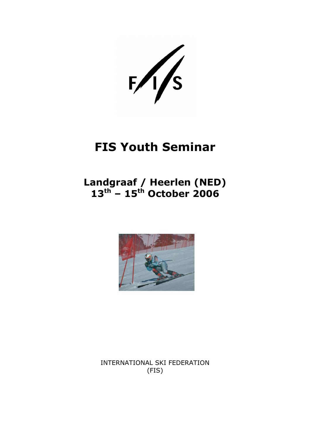$F/\sqrt{s}$ 

# FIS Youth Seminar

### Landgraaf / Heerlen (NED)  $13^{\text{th}}$  –  $15^{\text{th}}$  October 2006



INTERNATIONAL SKI FEDERATION (FIS)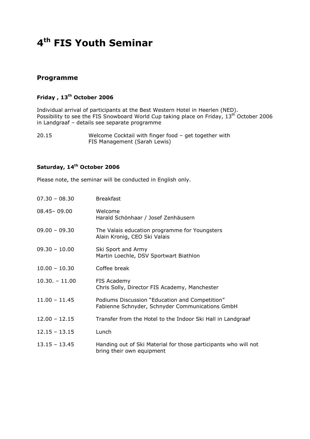## 4<sup>th</sup> FIS Youth Seminar

#### Programme

#### Friday, 13<sup>th</sup> October 2006

Individual arrival of participants at the Best Western Hotel in Heerlen (NED). Possibility to see the FIS Snowboard World Cup taking place on Friday, 13<sup>th</sup> October 2006 in Landgraaf – details see separate programme

20.15 Welcome Cocktail with finger food – get together with FIS Management (Sarah Lewis)

#### Saturday, 14<sup>th</sup> October 2006

Please note, the seminar will be conducted in English only.

| $07.30 - 08.30$ | <b>Breakfast</b>                                                                                  |
|-----------------|---------------------------------------------------------------------------------------------------|
| $08.45 - 09.00$ | Welcome<br>Harald Schönhaar / Josef Zenhäusern                                                    |
| $09.00 - 09.30$ | The Valais education programme for Youngsters<br>Alain Kronig, CEO Ski Valais                     |
| $09.30 - 10.00$ | Ski Sport and Army<br>Martin Loechle, DSV Sportwart Biathlon                                      |
| $10.00 - 10.30$ | Coffee break                                                                                      |
| $10.30 - 11.00$ | FIS Academy<br>Chris Solly, Director FIS Academy, Manchester                                      |
| $11.00 - 11.45$ | Podiums Discussion "Education and Competition"<br>Fabienne Schnyder, Schnyder Communications GmbH |
| $12.00 - 12.15$ | Transfer from the Hotel to the Indoor Ski Hall in Landgraaf                                       |
| $12.15 - 13.15$ | Lunch                                                                                             |
| $13.15 - 13.45$ | Handing out of Ski Material for those participants who will not<br>bring their own equipment      |